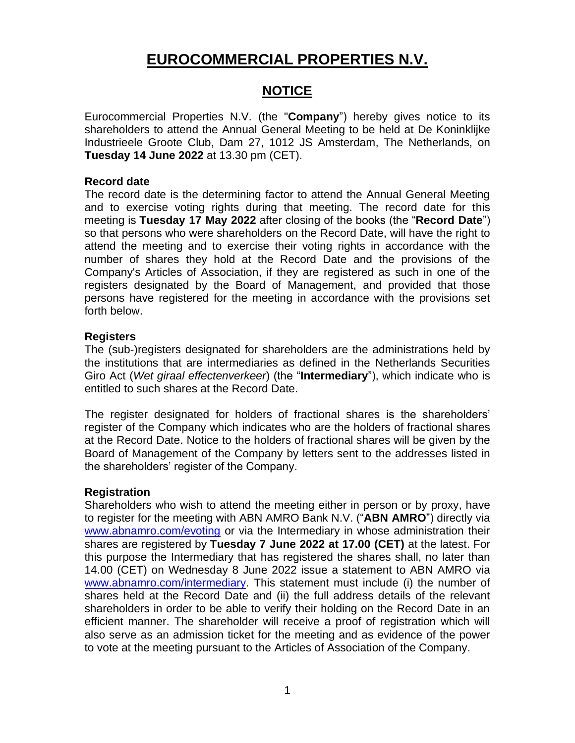# **EUROCOMMERCIAL PROPERTIES N.V.**

# **NOTICE**

Eurocommercial Properties N.V. (the "**Company**") hereby gives notice to its shareholders to attend the Annual General Meeting to be held at De Koninklijke Industrieele Groote Club, Dam 27, 1012 JS Amsterdam, The Netherlands, on **Tuesday 14 June 2022** at 13.30 pm (CET).

#### **Record date**

The record date is the determining factor to attend the Annual General Meeting and to exercise voting rights during that meeting. The record date for this meeting is **Tuesday 17 May 2022** after closing of the books (the "**Record Date**") so that persons who were shareholders on the Record Date, will have the right to attend the meeting and to exercise their voting rights in accordance with the number of shares they hold at the Record Date and the provisions of the Company's Articles of Association, if they are registered as such in one of the registers designated by the Board of Management, and provided that those persons have registered for the meeting in accordance with the provisions set forth below.

## **Registers**

The (sub-)registers designated for shareholders are the administrations held by the institutions that are intermediaries as defined in the Netherlands Securities Giro Act (*Wet giraal effectenverkeer*) (the "**Intermediary**"), which indicate who is entitled to such shares at the Record Date.

The register designated for holders of fractional shares is the shareholders' register of the Company which indicates who are the holders of fractional shares at the Record Date. Notice to the holders of fractional shares will be given by the Board of Management of the Company by letters sent to the addresses listed in the shareholders' register of the Company.

## **Registration**

Shareholders who wish to attend the meeting either in person or by proxy, have to register for the meeting with ABN AMRO Bank N.V. ("**ABN AMRO**") directly via [www.abnamro.com/evoting](http://www.abnamro.com/evoting) or via the Intermediary in whose administration their shares are registered by **Tuesday 7 June 2022 at 17.00 (CET)** at the latest. For this purpose the Intermediary that has registered the shares shall, no later than 14.00 (CET) on Wednesday 8 June 2022 issue a statement to ABN AMRO via [www.abnamro.com/intermediary.](http://www.abnamro.com/intermediary) This statement must include (i) the number of shares held at the Record Date and (ii) the full address details of the relevant shareholders in order to be able to verify their holding on the Record Date in an efficient manner. The shareholder will receive a proof of registration which will also serve as an admission ticket for the meeting and as evidence of the power to vote at the meeting pursuant to the Articles of Association of the Company.